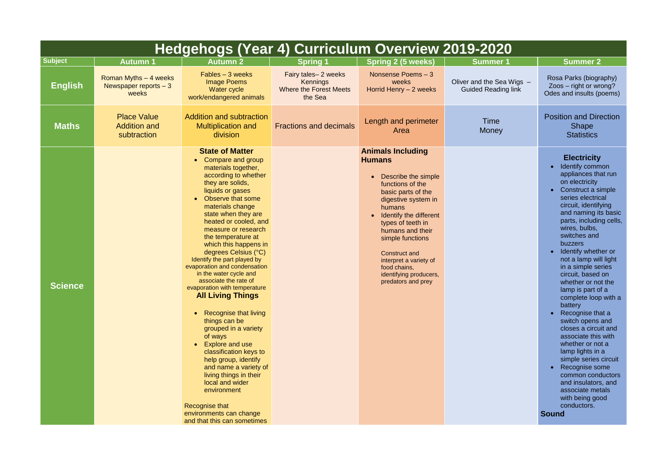| Hedgehogs (Year 4) Curriculum Overview 2019-2020 |                                                           |                                                                                                                                                                                                                                                                                                                                                                                                                                                                                                                                                                                                                                                                                                                                                                                                                                          |                                                                             |                                                                                                                                                                                                                                                                                                                                                      |                                                         |                                                                                                                                                                                                                                                                                                                                                                                                                                                                                                                                                                                                                                                       |
|--------------------------------------------------|-----------------------------------------------------------|------------------------------------------------------------------------------------------------------------------------------------------------------------------------------------------------------------------------------------------------------------------------------------------------------------------------------------------------------------------------------------------------------------------------------------------------------------------------------------------------------------------------------------------------------------------------------------------------------------------------------------------------------------------------------------------------------------------------------------------------------------------------------------------------------------------------------------------|-----------------------------------------------------------------------------|------------------------------------------------------------------------------------------------------------------------------------------------------------------------------------------------------------------------------------------------------------------------------------------------------------------------------------------------------|---------------------------------------------------------|-------------------------------------------------------------------------------------------------------------------------------------------------------------------------------------------------------------------------------------------------------------------------------------------------------------------------------------------------------------------------------------------------------------------------------------------------------------------------------------------------------------------------------------------------------------------------------------------------------------------------------------------------------|
| <b>Subject</b>                                   | <b>Autumn 1</b>                                           | <b>Autumn 2</b>                                                                                                                                                                                                                                                                                                                                                                                                                                                                                                                                                                                                                                                                                                                                                                                                                          | <b>Spring 1</b>                                                             | <b>Spring 2 (5 weeks)</b>                                                                                                                                                                                                                                                                                                                            | <b>Summer 1</b>                                         | <b>Summer 2</b>                                                                                                                                                                                                                                                                                                                                                                                                                                                                                                                                                                                                                                       |
| <b>English</b>                                   | Roman Myths $-4$ weeks<br>Newspaper reports $-3$<br>weeks | $Fables - 3 weeks$<br><b>Image Poems</b><br>Water cycle<br>work/endangered animals                                                                                                                                                                                                                                                                                                                                                                                                                                                                                                                                                                                                                                                                                                                                                       | Fairy tales-2 weeks<br>Kennings<br><b>Where the Forest Meets</b><br>the Sea | Nonsense Poems - 3<br>weeks<br>Horrid Henry - 2 weeks                                                                                                                                                                                                                                                                                                | Oliver and the Sea Wigs -<br><b>Guided Reading link</b> | Rosa Parks (biogr<br>$Z$ oos – right or wr<br>Odes and insults (p                                                                                                                                                                                                                                                                                                                                                                                                                                                                                                                                                                                     |
| <b>Maths</b>                                     | <b>Place Value</b><br><b>Addition and</b><br>subtraction  | <b>Addition and subtraction</b><br><b>Multiplication and</b><br>division                                                                                                                                                                                                                                                                                                                                                                                                                                                                                                                                                                                                                                                                                                                                                                 | <b>Fractions and decimals</b>                                               | Length and perimeter<br>Area                                                                                                                                                                                                                                                                                                                         | <b>Time</b><br><b>Money</b>                             | <b>Position and Dire</b><br><b>Shape</b><br><b>Statistics</b>                                                                                                                                                                                                                                                                                                                                                                                                                                                                                                                                                                                         |
| <b>Science</b>                                   |                                                           | <b>State of Matter</b><br>Compare and group<br>materials together,<br>according to whether<br>they are solids,<br>liquids or gases<br>Observe that some<br>materials change<br>state when they are<br>heated or cooled, and<br>measure or research<br>the temperature at<br>which this happens in<br>degrees Celsius (°C)<br>Identify the part played by<br>evaporation and condensation<br>in the water cycle and<br>associate the rate of<br>evaporation with temperature<br><b>All Living Things</b><br><b>Recognise that living</b><br>things can be<br>grouped in a variety<br>of ways<br><b>Explore and use</b><br>classification keys to<br>help group, identify<br>and name a variety of<br>living things in their<br>local and wider<br>environment<br>Recognise that<br>environments can change<br>and that this can sometimes |                                                                             | <b>Animals Including</b><br><b>Humans</b><br>Describe the simple<br>functions of the<br>basic parts of the<br>digestive system in<br>humans<br>Identify the different<br>types of teeth in<br>humans and their<br>simple functions<br><b>Construct and</b><br>interpret a variety of<br>food chains,<br>identifying producers,<br>predators and prey |                                                         | <b>Electricity</b><br>Identify comm<br>$\bullet$<br>appliances the<br>on electricity<br>Construct a si<br>$\bullet$<br>series electric<br>circuit, identif<br>and naming it<br>parts, includir<br>wires, bulbs,<br>switches and<br>buzzers<br>Identify wheth<br>$\bullet$<br>not a lamp wil<br>in a simple se<br>circuit, based<br>whether or no<br>lamp is part o<br>complete loop<br>battery<br>Recognise tha<br>$\bullet$<br>switch opens<br>closes a circu<br>associate this<br>whether or no<br>lamp lights in<br>simple series<br>Recognise so<br>common cond<br>and insulators<br>associate me<br>with being go<br>conductors.<br><b>Sound</b> |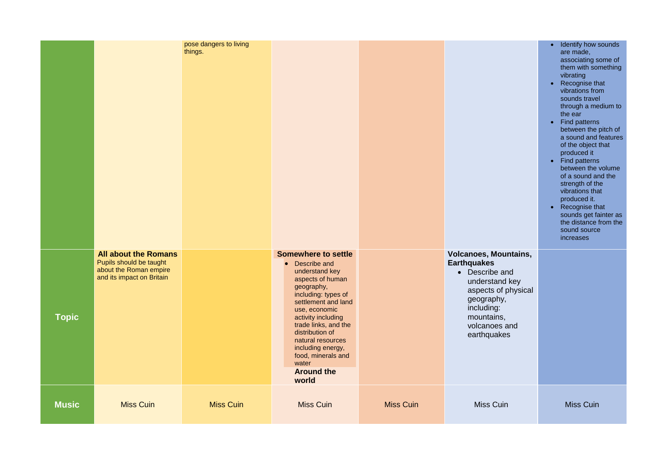|                                                                                                                                                               | $\bullet$<br>$\bullet$<br>$\bullet$ | <b>Identify how sounds</b><br>are made,<br>associating some of<br>them with something<br>vibrating<br>Recognise that<br>vibrations from<br>sounds travel<br>through a medium to<br>the ear<br><b>Find patterns</b><br>between the pitch of<br>a sound and features<br>of the object that<br>produced it<br><b>Find patterns</b><br>between the volume<br>of a sound and the<br>strength of the<br>vibrations that<br>produced it.<br>Recognise that<br>sounds get fainter as<br>the distance from the<br>sound source<br>increases |
|---------------------------------------------------------------------------------------------------------------------------------------------------------------|-------------------------------------|------------------------------------------------------------------------------------------------------------------------------------------------------------------------------------------------------------------------------------------------------------------------------------------------------------------------------------------------------------------------------------------------------------------------------------------------------------------------------------------------------------------------------------|
| noes, Mountains,<br>quakes<br>Describe and<br>understand key<br>aspects of physical<br>geography,<br>including:<br>mountains,<br>volcanoes and<br>earthquakes |                                     |                                                                                                                                                                                                                                                                                                                                                                                                                                                                                                                                    |
| <b>Miss Cuin</b>                                                                                                                                              |                                     | <b>Miss Cuin</b>                                                                                                                                                                                                                                                                                                                                                                                                                                                                                                                   |

|              |                                                                                                               | pose dangers to living<br>things. |                                                                                                                                                                                                                                                                                                                                         |                  |                                                                                                                                                                                         | ldentify how:<br>$\bullet$<br>are made,<br>associating s<br>them with so<br>vibrating<br>Recognise th<br>$\bullet$<br>vibrations fro<br>sounds trave<br>through a me<br>the ear<br><b>Find patterns</b><br>$\bullet$<br>between the<br>a sound and<br>of the object<br>produced it<br><b>Find patterns</b><br>$\bullet$<br>between the<br>of a sound ar<br>strength of th<br>vibrations tha<br>produced it.<br>Recognise th<br>$\bullet$<br>sounds get fa<br>the distance<br>sound source<br>increases |
|--------------|---------------------------------------------------------------------------------------------------------------|-----------------------------------|-----------------------------------------------------------------------------------------------------------------------------------------------------------------------------------------------------------------------------------------------------------------------------------------------------------------------------------------|------------------|-----------------------------------------------------------------------------------------------------------------------------------------------------------------------------------------|--------------------------------------------------------------------------------------------------------------------------------------------------------------------------------------------------------------------------------------------------------------------------------------------------------------------------------------------------------------------------------------------------------------------------------------------------------------------------------------------------------|
| <b>Topic</b> | <b>All about the Romans</b><br>Pupils should be taught<br>about the Roman empire<br>and its impact on Britain |                                   | <b>Somewhere to settle</b><br>• Describe and<br>understand key<br>aspects of human<br>geography,<br>including: types of<br>settlement and land<br>use, economic<br>activity including<br>trade links, and the<br>distribution of<br>natural resources<br>including energy,<br>food, minerals and<br>water<br><b>Around the</b><br>world |                  | <b>Volcanoes, Mountains,</b><br><b>Earthquakes</b><br>• Describe and<br>understand key<br>aspects of physical<br>geography,<br>including:<br>mountains,<br>volcanoes and<br>earthquakes |                                                                                                                                                                                                                                                                                                                                                                                                                                                                                                        |
| <b>Music</b> | <b>Miss Cuin</b>                                                                                              | <b>Miss Cuin</b>                  | <b>Miss Cuin</b>                                                                                                                                                                                                                                                                                                                        | <b>Miss Cuin</b> | Miss Cuin                                                                                                                                                                               | <b>Miss Cuin</b>                                                                                                                                                                                                                                                                                                                                                                                                                                                                                       |